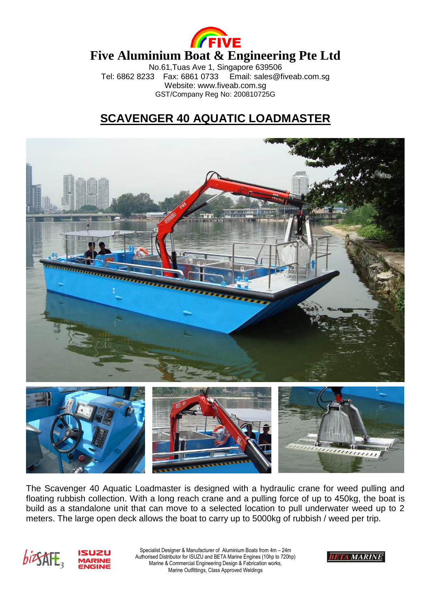

## **Five Aluminium Boat & Engineering Pte Ltd**

No.61, Tuas Ave 1, Singapore 639506<br>33 Fax: 6861 0733 Email: sales@fiveab.com.sq Tel: 6862 8233 Fax: 6861 0733 Website: www.fiveab.com.sg GST/Company Reg No: 200810725G

## **SCAVENGER 40 AQUATIC LOADMASTER**



The Scavenger 40 Aquatic Loadmaster is designed with a hydraulic crane for weed pulling and floating rubbish collection. With a long reach crane and a pulling force of up to 450kg, the boat is build as a standalone unit that can move to a selected location to pull underwater weed up to 2 meters. The large open deck allows the boat to carry up to 5000kg of rubbish / weed per trip.



Specialist Designer & Manufacturer of Aluminium Boats from 4m – 24m Authorised Distributor for ISUZU and BETA Marine Engines (10hp to 720hp) Marine & Commercial Engineering Design & Fabrication works, Marine Outfittings, Class Approved Weldings